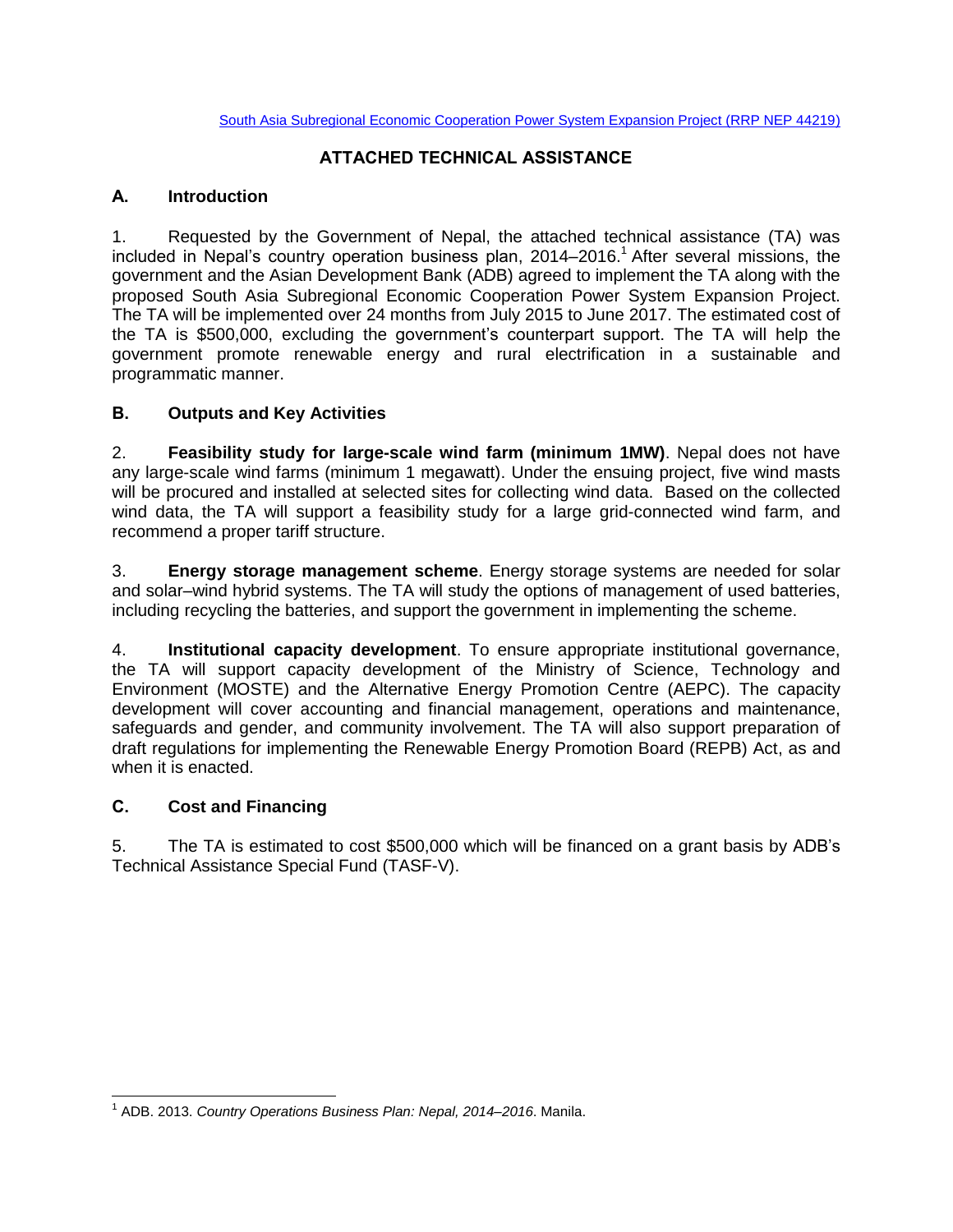### **ATTACHED TECHNICAL ASSISTANCE**

#### **A. Introduction**

1. Requested by the Government of Nepal, the attached technical assistance (TA) was included in Nepal's country operation business plan, 2014–2016. <sup>1</sup> After several missions, the government and the Asian Development Bank (ADB) agreed to implement the TA along with the proposed South Asia Subregional Economic Cooperation Power System Expansion Project. The TA will be implemented over 24 months from July 2015 to June 2017. The estimated cost of the TA is \$500,000, excluding the government's counterpart support. The TA will help the government promote renewable energy and rural electrification in a sustainable and programmatic manner.

#### **B. Outputs and Key Activities**

2. **Feasibility study for large-scale wind farm (minimum 1MW)**. Nepal does not have any large-scale wind farms (minimum 1 megawatt). Under the ensuing project, five wind masts will be procured and installed at selected sites for collecting wind data. Based on the collected wind data, the TA will support a feasibility study for a large grid-connected wind farm, and recommend a proper tariff structure.

3. **Energy storage management scheme**. Energy storage systems are needed for solar and solar–wind hybrid systems. The TA will study the options of management of used batteries, including recycling the batteries, and support the government in implementing the scheme.

4. **Institutional capacity development**. To ensure appropriate institutional governance, the TA will support capacity development of the Ministry of Science, Technology and Environment (MOSTE) and the Alternative Energy Promotion Centre (AEPC). The capacity development will cover accounting and financial management, operations and maintenance, safeguards and gender, and community involvement. The TA will also support preparation of draft regulations for implementing the Renewable Energy Promotion Board (REPB) Act, as and when it is enacted.

#### **C. Cost and Financing**

5. The TA is estimated to cost \$500,000 which will be financed on a grant basis by ADB's Technical Assistance Special Fund (TASF-V).

 1 ADB. 2013. *Country Operations Business Plan: Nepal, 2014–2016*. Manila.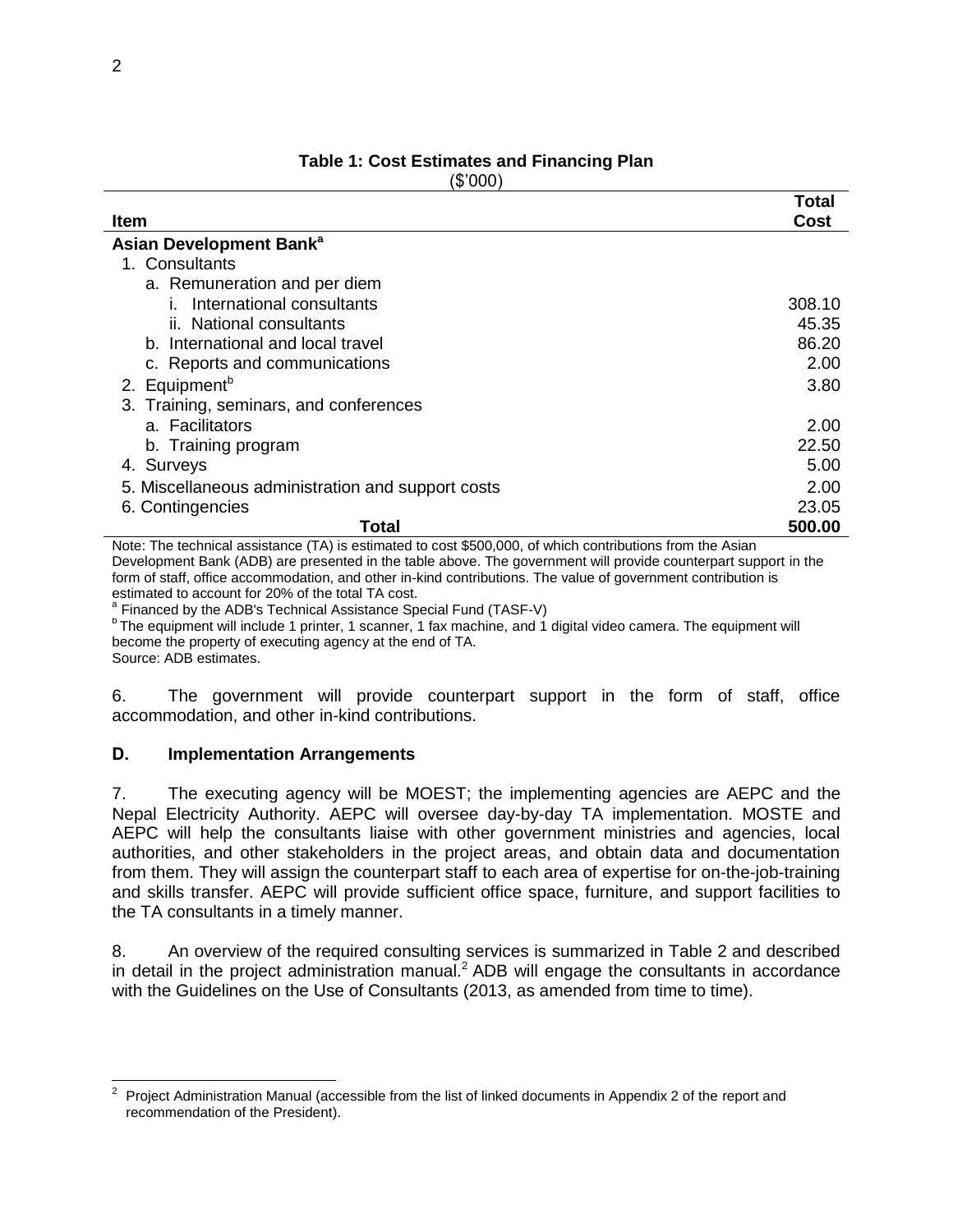|                                                                                                                   | Total  |
|-------------------------------------------------------------------------------------------------------------------|--------|
| <b>Item</b>                                                                                                       | Cost   |
| Asian Development Bank <sup>a</sup>                                                                               |        |
| 1. Consultants                                                                                                    |        |
| a. Remuneration and per diem                                                                                      |        |
| International consultants<br>L.                                                                                   | 308.10 |
| ii. National consultants                                                                                          | 45.35  |
| b. International and local travel                                                                                 | 86.20  |
| c. Reports and communications                                                                                     | 2.00   |
| 2. Equipment <sup>b</sup>                                                                                         | 3.80   |
| 3. Training, seminars, and conferences                                                                            |        |
| a. Facilitators                                                                                                   | 2.00   |
| b. Training program                                                                                               | 22.50  |
| 4. Surveys                                                                                                        | 5.00   |
| 5. Miscellaneous administration and support costs                                                                 | 2.00   |
| 6. Contingencies                                                                                                  | 23.05  |
| Total                                                                                                             | 500.00 |
| Note: The technical accidence $(T_A)$ is estimated to seet $R_{A}^{(0)}(0)$ of which contributions from the Asian |        |

# **Table 1: Cost Estimates and Financing Plan**

(\$'000)

Note: The technical assistance (TA) is estimated to cost \$500,000, of which contributions from the Asian Development Bank (ADB) are presented in the table above. The government will provide counterpart support in the form of staff, office accommodation, and other in-kind contributions. The value of government contribution is estimated to account for 20% of the total TA cost.

<sup>a</sup> Financed by the ADB's Technical Assistance Special Fund (TASF-V)

<sup>b</sup> The equipment will include 1 printer, 1 scanner, 1 fax machine, and 1 digital video camera. The equipment will become the property of executing agency at the end of TA.

Source: ADB estimates.

 $\overline{a}$ 

6. The government will provide counterpart support in the form of staff, office accommodation, and other in-kind contributions.

#### **D. Implementation Arrangements**

7. The executing agency will be MOEST; the implementing agencies are AEPC and the Nepal Electricity Authority. AEPC will oversee day-by-day TA implementation. MOSTE and AEPC will help the consultants liaise with other government ministries and agencies, local authorities, and other stakeholders in the project areas, and obtain data and documentation from them. They will assign the counterpart staff to each area of expertise for on-the-job-training and skills transfer. AEPC will provide sufficient office space, furniture, and support facilities to the TA consultants in a timely manner.

8. An overview of the required consulting services is summarized in Table 2 and described in detail in the project administration manual.<sup>2</sup> ADB will engage the consultants in accordance with the Guidelines on the Use of Consultants (2013, as amended from time to time).

<sup>2</sup> Project Administration Manual (accessible from the list of linked documents in Appendix 2 of the report and recommendation of the President).